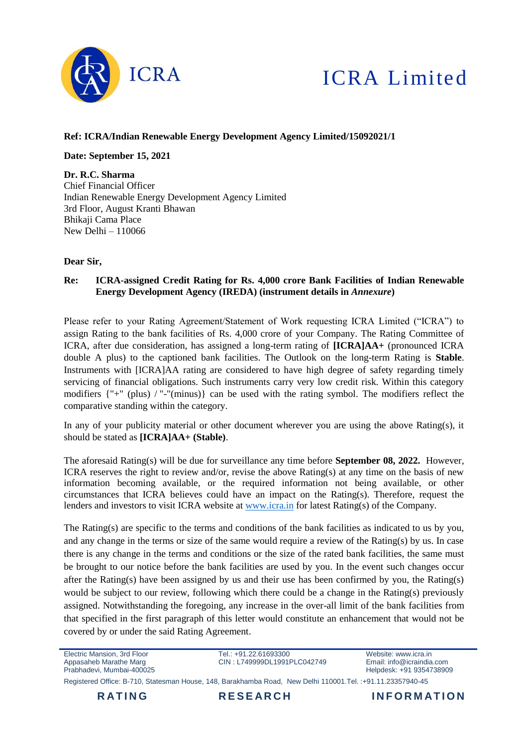

# ICRA Limited

### **Ref: ICRA/Indian Renewable Energy Development Agency Limited/15092021/1**

**Date: September 15, 2021**

**Dr. R.C. Sharma** Chief Financial Officer Indian Renewable Energy Development Agency Limited 3rd Floor, August Kranti Bhawan Bhikaji Cama Place New Delhi – 110066

#### **Dear Sir,**

#### **Re: ICRA-assigned Credit Rating for Rs. 4,000 crore Bank Facilities of Indian Renewable Energy Development Agency (IREDA) (instrument details in** *Annexure***)**

Please refer to your Rating Agreement/Statement of Work requesting ICRA Limited ("ICRA") to assign Rating to the bank facilities of Rs. 4,000 crore of your Company. The Rating Committee of ICRA, after due consideration, has assigned a long-term rating of **[ICRA]AA+** (pronounced ICRA double A plus) to the captioned bank facilities. The Outlook on the long-term Rating is **Stable**. Instruments with [ICRA]AA rating are considered to have high degree of safety regarding timely servicing of financial obligations. Such instruments carry very low credit risk. Within this category modifiers {"+" (plus) / "-"(minus)} can be used with the rating symbol. The modifiers reflect the comparative standing within the category.

In any of your publicity material or other document wherever you are using the above Rating(s), it should be stated as **[ICRA]AA+ (Stable)**.

The aforesaid Rating(s) will be due for surveillance any time before **September 08, 2022.** However, ICRA reserves the right to review and/or, revise the above Rating(s) at any time on the basis of new information becoming available, or the required information not being available, or other circumstances that ICRA believes could have an impact on the Rating(s). Therefore, request the lenders and investors to visit ICRA website at [www.icra.in](http://www.icra.in/) for latest Rating(s) of the Company.

The Rating(s) are specific to the terms and conditions of the bank facilities as indicated to us by you, and any change in the terms or size of the same would require a review of the Rating(s) by us. In case there is any change in the terms and conditions or the size of the rated bank facilities, the same must be brought to our notice before the bank facilities are used by you. In the event such changes occur after the Rating(s) have been assigned by us and their use has been confirmed by you, the Rating(s) would be subject to our review, following which there could be a change in the Rating(s) previously assigned. Notwithstanding the foregoing, any increase in the over-all limit of the bank facilities from that specified in the first paragraph of this letter would constitute an enhancement that would not be covered by or under the said Rating Agreement.

Electric Mansion, 3rd Floor Appasaheb Marathe Marg Prabhadevi, Mumbai-400025

Tel: +91.22.61693300 CIN : L749999DL1991PLC042749 Website: www.icra.in Email: info@icraindia.com Helpdesk: +91 9354738909

Registered Office: B-710, Statesman House, 148, Barakhamba Road, New Delhi 110001.Tel. :+91.11.23357940-45



**RATING RESEARCH INFORMATION**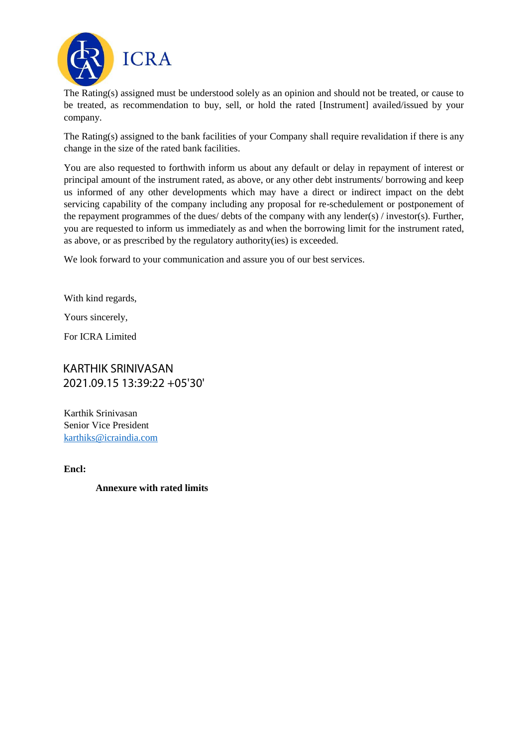

The Rating(s) assigned must be understood solely as an opinion and should not be treated, or cause to be treated, as recommendation to buy, sell, or hold the rated [Instrument] availed/issued by your company.

The Rating(s) assigned to the bank facilities of your Company shall require revalidation if there is any change in the size of the rated bank facilities.

You are also requested to forthwith inform us about any default or delay in repayment of interest or principal amount of the instrument rated, as above, or any other debt instruments/ borrowing and keep us informed of any other developments which may have a direct or indirect impact on the debt servicing capability of the company including any proposal for re-schedulement or postponement of the repayment programmes of the dues/ debts of the company with any lender(s) / investor(s). Further, you are requested to inform us immediately as and when the borrowing limit for the instrument rated, as above, or as prescribed by the regulatory authority(ies) is exceeded.

We look forward to your communication and assure you of our best services.

With kind regards,

Yours sincerely,

For ICRA Limited

# KARTHIK SRINIVASAN 2021.09.15 13:39:22 +05'30'

Karthik Srinivasan Senior Vice President [karthiks@icraindia.com](mailto:karthiks@icraindia.com) 

**Encl:**

## **Annexure with rated limits**